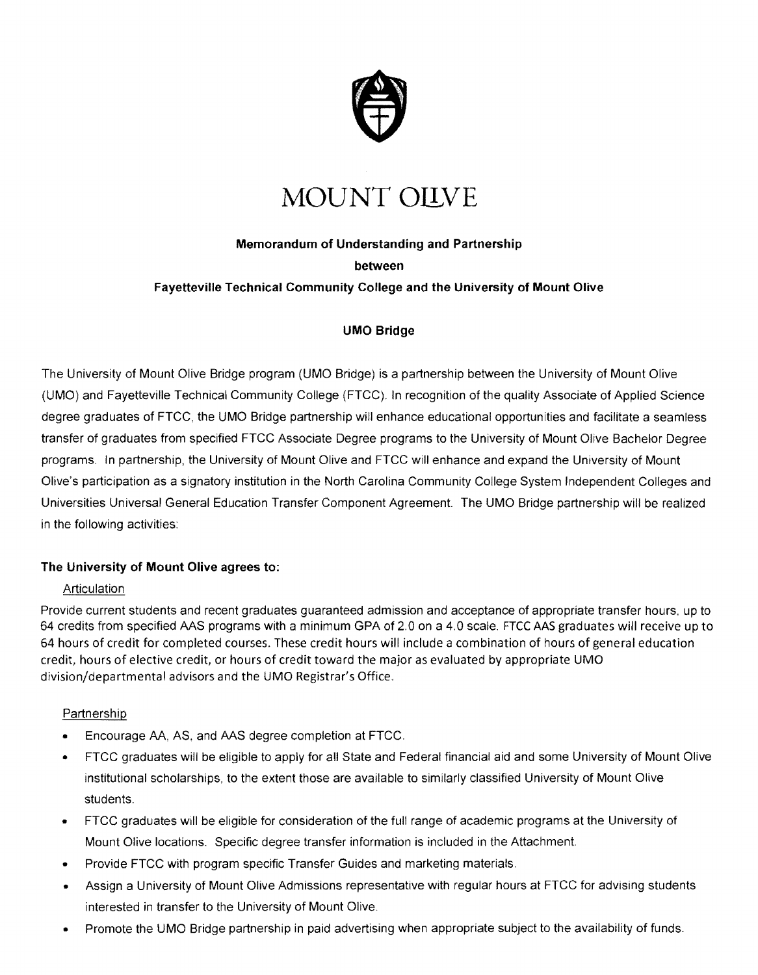

# **MOUNT OILVE**

## **Memorandum of Understanding and Partnership**

#### **between**

#### **Fayetteville Technical Community College and the University of Mount Olive**

#### **UMO Bridge**

The University of Mount Olive Bridge program (UMO Bridge) is a partnership between the University of Mount Olive (UMO) and Fayetteville Technical Community College (FTCC). In recognition of the quality Associate of Applied Science degree graduates of FTCC, the UMO Bridge partnership will enhance educational opportunities and facilitate a seamless transfer of graduates from specified FTCC Associate Degree programs to the University of Mount Olive Bachelor Degree programs. In partnership, the University of Mount Olive and FTCC will enhance and expand the University of Mount Olive's participation as a signatory institution in the North Carolina Community College System Independent Colleges and Universities Universal General Education Transfer Component Agreement. The UMO Bridge partnership will be realized in the following activities:

#### **The University of Mount Olive agrees to:**

#### **Articulation**

Provide current students and recent graduates guaranteed admission and acceptance of appropriate transfer hours, up to 64 credits from specified AAS programs with a minimum GPA of 2.0 on a 4.0 scale. FTCC AAS graduates will receive up to 64 hours of credit for completed courses. These credit hours will include a combination of hours of general education credit, hours of elective credit, or hours of credit toward the major as evaluated by appropriate UMO division/departmental advisors and the UMO Registrar's Office.

#### Partnership

- Encourage AA, AS, and AAS degree completion at FTCC.
- FTCC graduates will be eligible to apply for all State and Federal financial aid and some University of Mount Olive institutional scholarships, to the extent those are available to similarly classified University of Mount Olive students.
- FTCC graduates will be eligible for consideration of the full range of academic programs at the University of Mount Olive locations. Specific degree transfer information is included in the Attachment.
- Provide FTCC with program specific Transfer Guides and marketing materials.
- Assign a University of Mount Olive Admissions representative with regular hours at FTCC for advising students interested in transfer to the University of Mount Olive.
- Promote the UMO Bridge partnership in paid advertising when appropriate subject to the availability of funds.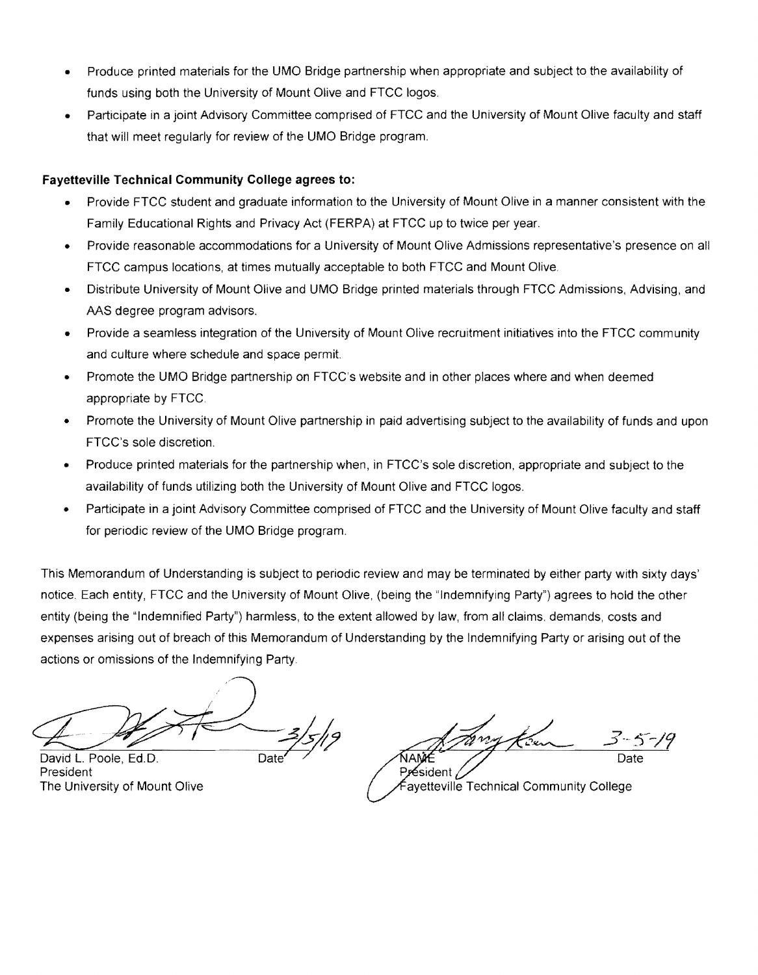- Produce printed materials for the UMO Bridge partnership when appropriate and subject to the availability of funds using both the University of Mount Olive and FTCC logos.
- Participate in a joint Advisory Committee comprised of FTCC and the University of Mount Olive faculty and staff that will meet regularly for review of the UMO Bridge program.

#### **Fayetteville Technical Community College agrees to:**

- Provide FTCC student and graduate information to the University of Mount Olive in a manner consistent with the Family Educational Rights and Privacy Act (FERPA) at FTCC up to twice per year.
- Provide reasonable accommodations for a University of Mount Olive Admissions representative's presence on all FTCC campus locations, at times mutually acceptable to both FTCC and Mount Olive.
- Distribute University of Mount Olive and UMO Bridge printed materials through FTCC Admissions, Advising, and AAS degree program advisors.
- Provide a seamless integration of the University of Mount Olive recruitment initiatives into the FTCC community and culture where schedule and space permit.
- Promote the UMO Bridge partnership on FTCC's website and in other places where and when deemed appropriate by FTCC.
- Promote the University of Mount Olive partnership in paid advertising subject to the availability of funds and upon FTCC's sole discretion.
- Produce printed materials for the partnership when, in FTCC's sole discretion, appropriate and subject to the availability of funds utilizing both the University of Mount Olive and FTCC logos.
- Participate in a joint Advisory Committee comprised of FTCC and the University of Mount Olive faculty and staff for periodic review of the UMO Bridge program.

This Memorandum of Understanding is subject to periodic review and may be terminated by either party with Sixty days' notice. Each entity, FTCC and the University of Mount Olive, (being the "Indemnifying Party") agrees to hold the other entity (being the "Indemnified Party") harmless, to the extent allowed by law, from all claims. demands, costs and expenses arising out of breach of this Memorandum of Understanding by the Indemnifying Party or arising out of the actions or omissions of the Indemnifying Party.

 $47/7$ David L. Poole, Ed.D.  $\frac{2}{5/9}$ 

President The University of Mount Olive

Date Président

ayetteville Technical Community College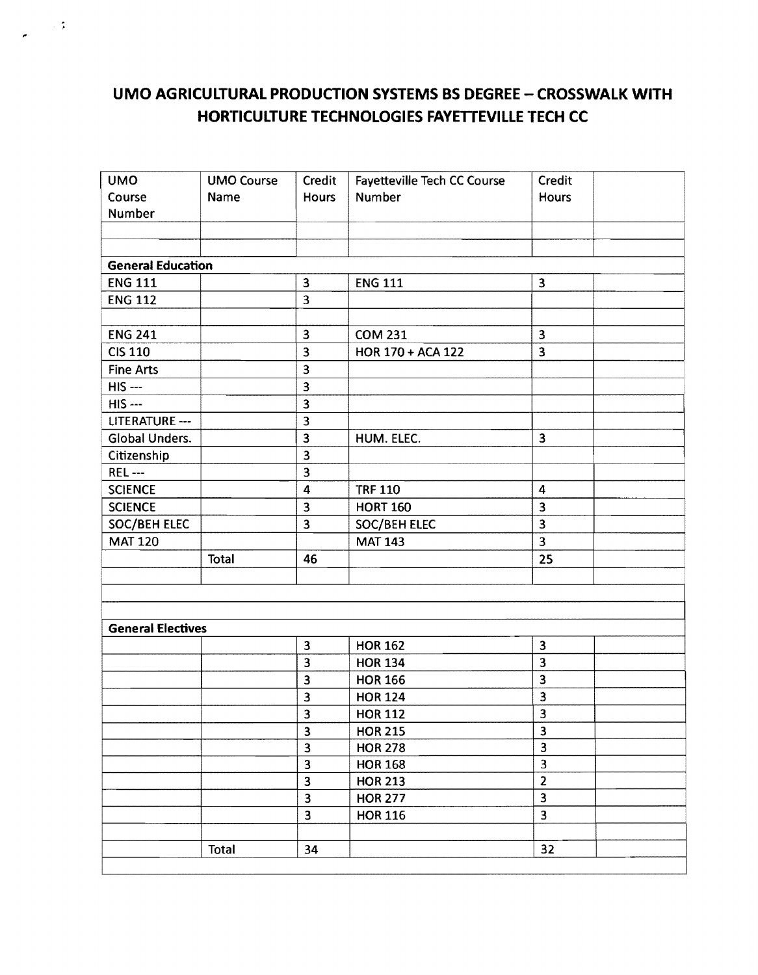### **UMO AGRICULTURAL PRODUCTION SYSTEMS BS DEGREE - CROSSWALK WITH HORTICULTURE TECHNOLOGIES FAYETTEVILLE TECH CC**

 $\sim$  4  $\,$ 

| <b>UMO</b>               | <b>UMO Course</b> | Credit                  | Fayetteville Tech CC Course | Credit                    |  |
|--------------------------|-------------------|-------------------------|-----------------------------|---------------------------|--|
| Course                   | Name              | <b>Hours</b>            | <b>Number</b>               | <b>Hours</b>              |  |
| Number                   |                   |                         |                             |                           |  |
|                          |                   |                         |                             |                           |  |
|                          |                   |                         |                             |                           |  |
| <b>General Education</b> |                   |                         |                             |                           |  |
| <b>ENG 111</b>           |                   | 3                       | <b>ENG 111</b>              | $\overline{\mathbf{3}}$   |  |
| <b>ENG 112</b>           |                   | 3                       |                             |                           |  |
|                          |                   |                         |                             |                           |  |
| <b>ENG 241</b>           |                   | $\overline{\mathbf{3}}$ | <b>COM 231</b>              | $\overline{\mathbf{3}}$   |  |
| <b>CIS 110</b>           |                   | 3                       | HOR 170 + ACA 122           | 3                         |  |
| <b>Fine Arts</b>         |                   | $\overline{\mathbf{3}}$ |                             |                           |  |
| $HIS$ ---                |                   | $\overline{\mathbf{3}}$ |                             |                           |  |
| <b>HIS ---</b>           |                   | 3                       |                             |                           |  |
| LITERATURE ---           |                   | 3                       |                             |                           |  |
| Global Unders.           |                   | 3                       | HUM. ELEC.                  | 3                         |  |
| Citizenship              |                   | $\overline{\mathbf{3}}$ |                             |                           |  |
| <b>REL---</b>            |                   | 3                       |                             |                           |  |
| <b>SCIENCE</b>           |                   | $\overline{\mathbf{4}}$ | <b>TRF 110</b>              | $\boldsymbol{4}$          |  |
| <b>SCIENCE</b>           |                   | 3                       | <b>HORT 160</b>             | 3                         |  |
| SOC/BEH ELEC             |                   | 3                       | SOC/BEH ELEC                | 3                         |  |
| <b>MAT 120</b>           |                   |                         | <b>MAT 143</b>              | 3                         |  |
|                          | <b>Total</b>      | 46                      |                             | 25                        |  |
|                          |                   |                         |                             |                           |  |
|                          |                   |                         |                             |                           |  |
|                          |                   |                         |                             |                           |  |
| <b>General Electives</b> |                   |                         |                             |                           |  |
|                          |                   | $\overline{\mathbf{3}}$ | <b>HOR 162</b>              | $\overline{\mathbf{3}}$   |  |
|                          |                   | 3                       | <b>HOR 134</b>              | 3                         |  |
|                          |                   | $\overline{\mathbf{3}}$ | <b>HOR 166</b>              | 3                         |  |
|                          |                   | 3                       | <b>HOR 124</b>              | 3                         |  |
|                          |                   | 3                       | <b>HOR 112</b>              | 3                         |  |
|                          |                   | 3                       | <b>HOR 215</b>              | $\overline{\overline{3}}$ |  |
|                          |                   | $\overline{\mathbf{3}}$ | <b>HOR 278</b>              | $\overline{\mathbf{3}}$   |  |
|                          |                   | $\overline{\mathbf{3}}$ | <b>HOR 168</b>              | $\overline{\mathbf{3}}$   |  |
|                          |                   | $\overline{\mathbf{3}}$ | <b>HOR 213</b>              | $\overline{2}$            |  |
|                          |                   | $\overline{\mathbf{3}}$ | <b>HOR 277</b>              | $\overline{\mathbf{3}}$   |  |
|                          |                   | $\overline{\mathbf{3}}$ | <b>HOR 116</b>              | $\overline{3}$            |  |
|                          |                   |                         |                             |                           |  |
|                          | Total             | 34                      |                             | 32                        |  |
|                          |                   |                         |                             |                           |  |